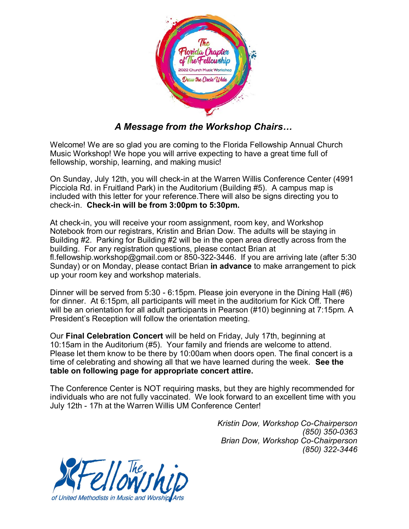

## *A Message from the Workshop Chairs…*

Welcome! We are so glad you are coming to the Florida Fellowship Annual Church Music Workshop! We hope you will arrive expecting to have a great time full of fellowship, worship, learning, and making music!

On Sunday, July 12th, you will check-in at the Warren Willis Conference Center (4991 Picciola Rd. in Fruitland Park) in the Auditorium (Building #5). A campus map is included with this letter for your reference.There will also be signs directing you to check-in. **Check-in will be from 3:00pm to 5:30pm.**

At check-in, you will receive your room assignment, room key, and Workshop Notebook from our registrars, Kristin and Brian Dow. The adults will be staying in Building #2. Parking for Building #2 will be in the open area directly across from the building. For any registration questions, please contact Brian at fl.fellowship.workshop@gmail.com or 850-322-3446. If you are arriving late (after 5:30 Sunday) or on Monday, please contact Brian **in advance** to make arrangement to pick up your room key and workshop materials.

Dinner will be served from 5:30 - 6:15pm. Please join everyone in the Dining Hall (#6) for dinner. At 6:15pm, all participants will meet in the auditorium for Kick Off. There will be an orientation for all adult participants in Pearson (#10) beginning at 7:15pm. A President's Reception will follow the orientation meeting.

Our **Final Celebration Concert** will be held on Friday, July 17th, beginning at 10:15am in the Auditorium (#5). Your family and friends are welcome to attend. Please let them know to be there by 10:00am when doors open. The final concert is a time of celebrating and showing all that we have learned during the week. **See the table on following page for appropriate concert attire.** 

The Conference Center is NOT requiring masks, but they are highly recommended for individuals who are not fully vaccinated. We look forward to an excellent time with you July 12th - 17h at the Warren Willis UM Conference Center!

> *Kristin Dow, Workshop Co-Chairperson (850) 350-0363 Brian Dow, Workshop Co-Chairperson (850) 322-3446*

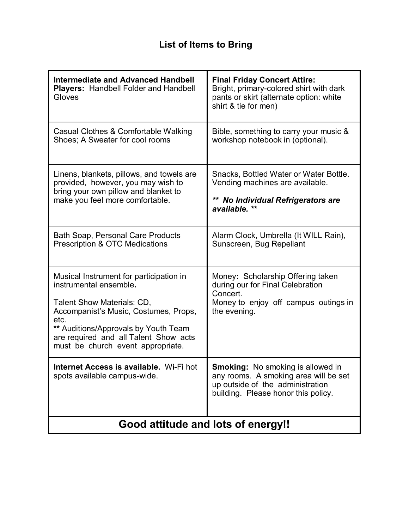## **List of Items to Bring**

| <b>Intermediate and Advanced Handbell</b><br><b>Players: Handbell Folder and Handbell</b><br>Gloves                                                                                                                                                                    | <b>Final Friday Concert Attire:</b><br>Bright, primary-colored shirt with dark<br>pants or skirt (alternate option: white<br>shirt & tie for men)            |
|------------------------------------------------------------------------------------------------------------------------------------------------------------------------------------------------------------------------------------------------------------------------|--------------------------------------------------------------------------------------------------------------------------------------------------------------|
| Casual Clothes & Comfortable Walking<br>Shoes; A Sweater for cool rooms                                                                                                                                                                                                | Bible, something to carry your music &<br>workshop notebook in (optional).                                                                                   |
| Linens, blankets, pillows, and towels are<br>provided, however, you may wish to<br>bring your own pillow and blanket to<br>make you feel more comfortable.                                                                                                             | Snacks, Bottled Water or Water Bottle.<br>Vending machines are available.<br>**<br><b>No Individual Refrigerators are</b><br>available. **                   |
| <b>Bath Soap, Personal Care Products</b><br><b>Prescription &amp; OTC Medications</b>                                                                                                                                                                                  | Alarm Clock, Umbrella (It WILL Rain),<br>Sunscreen, Bug Repellant                                                                                            |
| Musical Instrument for participation in<br>instrumental ensemble.<br>Talent Show Materials: CD,<br>Accompanist's Music, Costumes, Props,<br>etc.<br>** Auditions/Approvals by Youth Team<br>are required and all Talent Show acts<br>must be church event appropriate. | Money: Scholarship Offering taken<br>during our for Final Celebration<br>Concert.<br>Money to enjoy off campus outings in<br>the evening.                    |
| Internet Access is available. Wi-Fi hot<br>spots available campus-wide.                                                                                                                                                                                                | <b>Smoking:</b> No smoking is allowed in<br>any rooms. A smoking area will be set<br>up outside of the administration<br>building. Please honor this policy. |
| Good attitude and lots of energy!!                                                                                                                                                                                                                                     |                                                                                                                                                              |